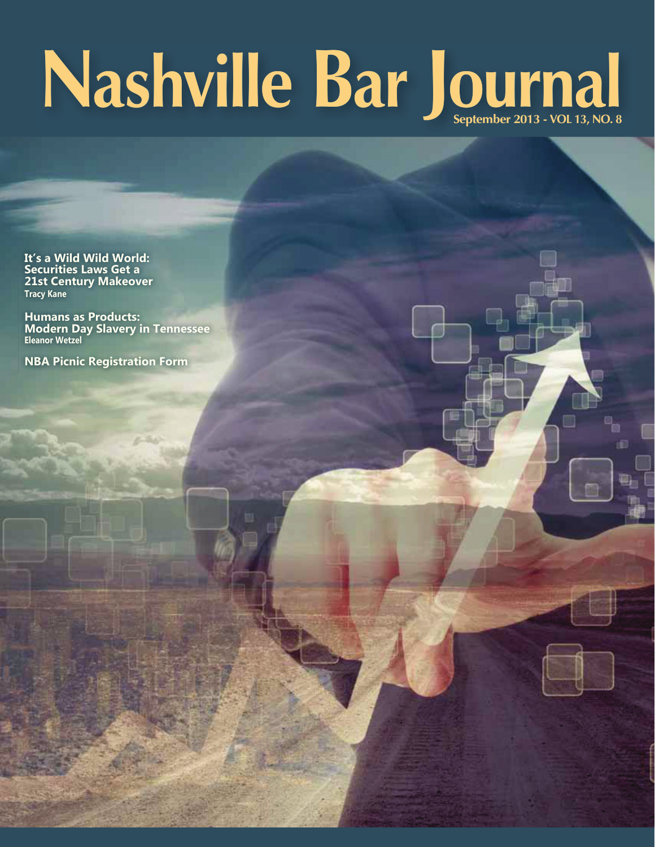# Nashville Bar Journal

It's a Wild Wild World: **Securities Laws Get a** 21st Century Makeover **Tracy Kane** 

**Humans as Products:** Modern Day Slavery in Tennessee

**NBA Picnic Registration Form**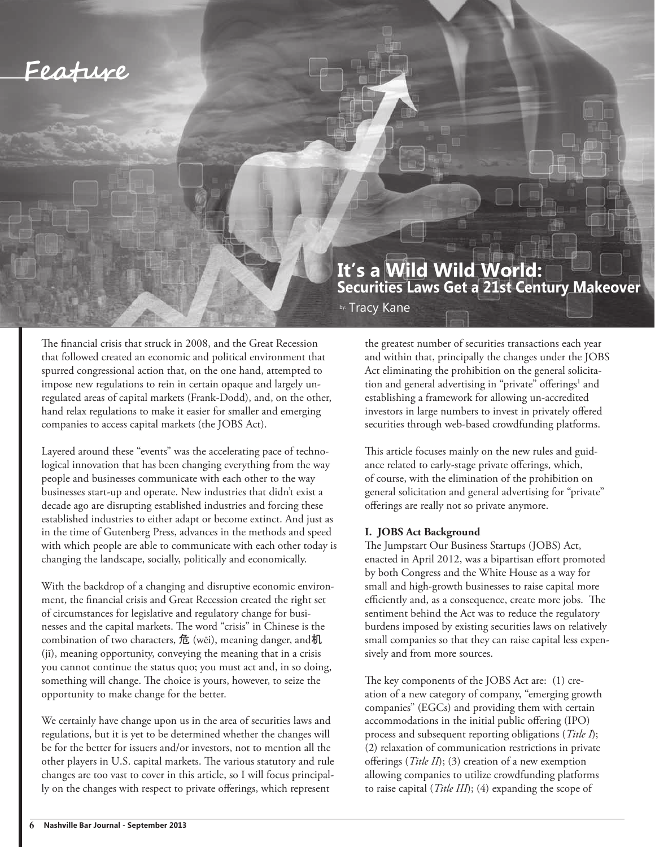

### **It's a Wild Wild World: Securities Laws Get a 21st Century Makeover**

by: Tracy Kane

The financial crisis that struck in 2008, and the Great Recession that followed created an economic and political environment that spurred congressional action that, on the one hand, attempted to impose new regulations to rein in certain opaque and largely unregulated areas of capital markets (Frank-Dodd), and, on the other, hand relax regulations to make it easier for smaller and emerging companies to access capital markets (the JOBS Act).

Layered around these "events" was the accelerating pace of technological innovation that has been changing everything from the way people and businesses communicate with each other to the way businesses start-up and operate. New industries that didn't exist a decade ago are disrupting established industries and forcing these established industries to either adapt or become extinct. And just as in the time of Gutenberg Press, advances in the methods and speed with which people are able to communicate with each other today is changing the landscape, socially, politically and economically.

With the backdrop of a changing and disruptive economic environment, the financial crisis and Great Recession created the right set of circumstances for legislative and regulatory change for businesses and the capital markets. The word "crisis" in Chinese is the combination of two characters, 危 (wēi), meaning danger, and机 (jī), meaning opportunity, conveying the meaning that in a crisis you cannot continue the status quo; you must act and, in so doing, something will change. The choice is yours, however, to seize the opportunity to make change for the better.

We certainly have change upon us in the area of securities laws and regulations, but it is yet to be determined whether the changes will be for the better for issuers and/or investors, not to mention all the other players in U.S. capital markets. The various statutory and rule changes are too vast to cover in this article, so I will focus principally on the changes with respect to private offerings, which represent

the greatest number of securities transactions each year and within that, principally the changes under the JOBS Act eliminating the prohibition on the general solicitation and general advertising in "private" offerings<sup>1</sup> and establishing a framework for allowing un-accredited investors in large numbers to invest in privately offered securities through web-based crowdfunding platforms.

This article focuses mainly on the new rules and guidance related to early-stage private offerings, which, of course, with the elimination of the prohibition on general solicitation and general advertising for "private" offerings are really not so private anymore.

#### **I. JOBS Act Background**

The Jumpstart Our Business Startups (JOBS) Act, enacted in April 2012, was a bipartisan effort promoted by both Congress and the White House as a way for small and high-growth businesses to raise capital more efficiently and, as a consequence, create more jobs. The sentiment behind the Act was to reduce the regulatory burdens imposed by existing securities laws on relatively small companies so that they can raise capital less expensively and from more sources.

The key components of the JOBS Act are: (1) creation of a new category of company, "emerging growth companies" (EGCs) and providing them with certain accommodations in the initial public offering (IPO) process and subsequent reporting obligations (*Title I*); (2) relaxation of communication restrictions in private offerings (*Title II*); (3) creation of a new exemption allowing companies to utilize crowdfunding platforms to raise capital (*Title III*); (4) expanding the scope of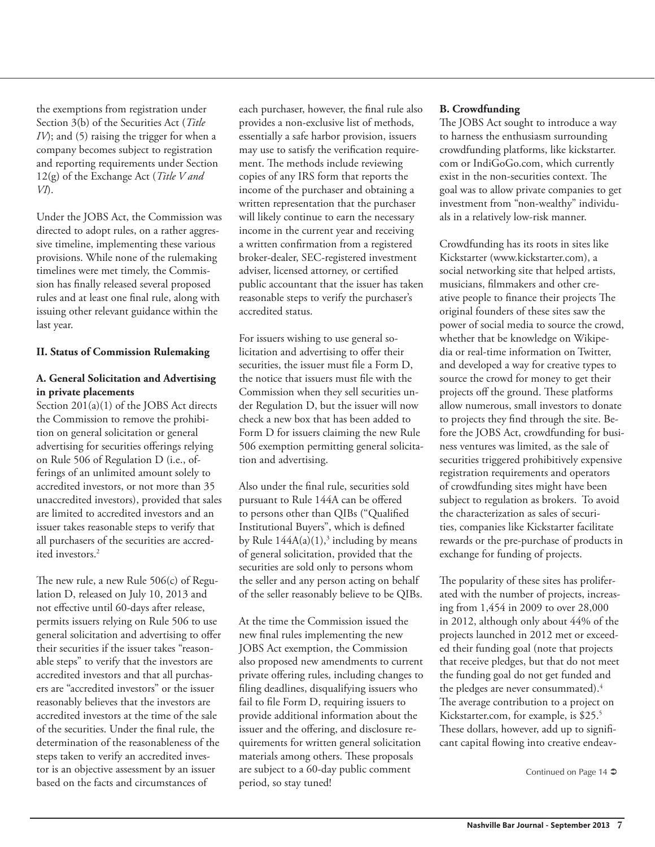the exemptions from registration under Section 3(b) of the Securities Act (*Title IV*); and (5) raising the trigger for when a company becomes subject to registration and reporting requirements under Section 12(g) of the Exchange Act (*Title V and VI*).

Under the JOBS Act, the Commission was directed to adopt rules, on a rather aggressive timeline, implementing these various provisions. While none of the rulemaking timelines were met timely, the Commission has finally released several proposed rules and at least one final rule, along with issuing other relevant guidance within the last year.

#### **II. Status of Commission Rulemaking**

#### **A. General Solicitation and Advertising in private placements**

Section 201(a)(1) of the JOBS Act directs the Commission to remove the prohibition on general solicitation or general advertising for securities offerings relying on Rule 506 of Regulation D (i.e., offerings of an unlimited amount solely to accredited investors, or not more than 35 unaccredited investors), provided that sales are limited to accredited investors and an issuer takes reasonable steps to verify that all purchasers of the securities are accredited investors.<sup>2</sup>

The new rule, a new Rule 506(c) of Regulation D, released on July 10, 2013 and not effective until 60-days after release, permits issuers relying on Rule 506 to use general solicitation and advertising to offer their securities if the issuer takes "reasonable steps" to verify that the investors are accredited investors and that all purchasers are "accredited investors" or the issuer reasonably believes that the investors are accredited investors at the time of the sale of the securities. Under the final rule, the determination of the reasonableness of the steps taken to verify an accredited investor is an objective assessment by an issuer based on the facts and circumstances of

each purchaser, however, the final rule also provides a non-exclusive list of methods, essentially a safe harbor provision, issuers may use to satisfy the verification requirement. The methods include reviewing copies of any IRS form that reports the income of the purchaser and obtaining a written representation that the purchaser will likely continue to earn the necessary income in the current year and receiving a written confirmation from a registered broker-dealer, SEC-registered investment adviser, licensed attorney, or certified public accountant that the issuer has taken reasonable steps to verify the purchaser's accredited status.

For issuers wishing to use general solicitation and advertising to offer their securities, the issuer must file a Form D, the notice that issuers must file with the Commission when they sell securities under Regulation D, but the issuer will now check a new box that has been added to Form D for issuers claiming the new Rule 506 exemption permitting general solicitation and advertising.

Also under the final rule, securities sold pursuant to Rule 144A can be offered to persons other than QIBs ("Qualified Institutional Buyers", which is defined by Rule  $144A(a)(1),$ <sup>3</sup> including by means of general solicitation, provided that the securities are sold only to persons whom the seller and any person acting on behalf of the seller reasonably believe to be QIBs.

At the time the Commission issued the new final rules implementing the new JOBS Act exemption, the Commission also proposed new amendments to current private offering rules, including changes to filing deadlines, disqualifying issuers who fail to file Form D, requiring issuers to provide additional information about the issuer and the offering, and disclosure requirements for written general solicitation materials among others. These proposals are subject to a 60-day public comment period, so stay tuned!

#### **B. Crowdfunding**

The JOBS Act sought to introduce a way to harness the enthusiasm surrounding crowdfunding platforms, like kickstarter. com or IndiGoGo.com, which currently exist in the non-securities context. The goal was to allow private companies to get investment from "non-wealthy" individuals in a relatively low-risk manner.

Crowdfunding has its roots in sites like Kickstarter (www.kickstarter.com), a social networking site that helped artists, musicians, filmmakers and other creative people to finance their projects The original founders of these sites saw the power of social media to source the crowd, whether that be knowledge on Wikipedia or real-time information on Twitter, and developed a way for creative types to source the crowd for money to get their projects off the ground. These platforms allow numerous, small investors to donate to projects they find through the site. Before the JOBS Act, crowdfunding for business ventures was limited, as the sale of securities triggered prohibitively expensive registration requirements and operators of crowdfunding sites might have been subject to regulation as brokers. To avoid the characterization as sales of securities, companies like Kickstarter facilitate rewards or the pre-purchase of products in exchange for funding of projects.

The popularity of these sites has proliferated with the number of projects, increasing from 1,454 in 2009 to over 28,000 in 2012, although only about 44% of the projects launched in 2012 met or exceeded their funding goal (note that projects that receive pledges, but that do not meet the funding goal do not get funded and the pledges are never consummated).<sup>4</sup> The average contribution to a project on Kickstarter.com, for example, is \$25.<sup>5</sup> These dollars, however, add up to significant capital flowing into creative endeav-

Continued on Page 14  $\bullet$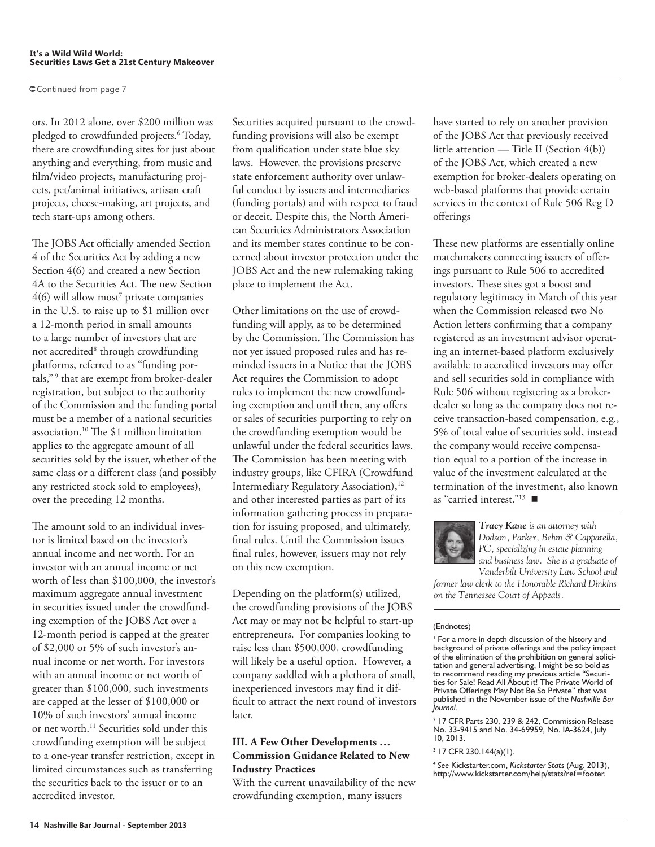Continued from page 7

ors. In 2012 alone, over \$200 million was pledged to crowdfunded projects.<sup>6</sup> Today, there are crowdfunding sites for just about anything and everything, from music and film/video projects, manufacturing projects, pet/animal initiatives, artisan craft projects, cheese-making, art projects, and tech start-ups among others.

The JOBS Act officially amended Section 4 of the Securities Act by adding a new Section 4(6) and created a new Section 4A to the Securities Act. The new Section  $4(6)$  will allow most<sup>7</sup> private companies in the U.S. to raise up to \$1 million over a 12-month period in small amounts to a large number of investors that are not accredited<sup>8</sup> through crowdfunding platforms, referred to as "funding portals,"<sup>9</sup> that are exempt from broker-dealer registration, but subject to the authority of the Commission and the funding portal must be a member of a national securities association.<sup>10</sup> The  $$1$  million limitation applies to the aggregate amount of all securities sold by the issuer, whether of the same class or a different class (and possibly any restricted stock sold to employees), over the preceding 12 months.

The amount sold to an individual investor is limited based on the investor's annual income and net worth. For an investor with an annual income or net worth of less than \$100,000, the investor's maximum aggregate annual investment in securities issued under the crowdfunding exemption of the JOBS Act over a 12-month period is capped at the greater of \$2,000 or 5% of such investor's annual income or net worth. For investors with an annual income or net worth of greater than \$100,000, such investments are capped at the lesser of \$100,000 or 10% of such investors' annual income or net worth.<sup>11</sup> Securities sold under this crowdfunding exemption will be subject to a one-year transfer restriction, except in limited circumstances such as transferring the securities back to the issuer or to an accredited investor.

Securities acquired pursuant to the crowdfunding provisions will also be exempt from qualification under state blue sky laws. However, the provisions preserve state enforcement authority over unlawful conduct by issuers and intermediaries (funding portals) and with respect to fraud or deceit. Despite this, the North American Securities Administrators Association and its member states continue to be concerned about investor protection under the JOBS Act and the new rulemaking taking place to implement the Act.

Other limitations on the use of crowdfunding will apply, as to be determined by the Commission. The Commission has not yet issued proposed rules and has reminded issuers in a Notice that the JOBS Act requires the Commission to adopt rules to implement the new crowdfunding exemption and until then, any offers or sales of securities purporting to rely on the crowdfunding exemption would be unlawful under the federal securities laws. The Commission has been meeting with industry groups, like CFIRA (Crowdfund Intermediary Regulatory Association),<sup>12</sup> and other interested parties as part of its information gathering process in preparation for issuing proposed, and ultimately, final rules. Until the Commission issues final rules, however, issuers may not rely on this new exemption.

Depending on the platform(s) utilized, the crowdfunding provisions of the JOBS Act may or may not be helpful to start-up entrepreneurs. For companies looking to raise less than \$500,000, crowdfunding will likely be a useful option. However, a company saddled with a plethora of small, inexperienced investors may find it difficult to attract the next round of investors later.

#### **III. A Few Other Developments … Commission Guidance Related to New Industry Practices**

With the current unavailability of the new crowdfunding exemption, many issuers

have started to rely on another provision of the JOBS Act that previously received little attention — Title II (Section 4(b)) of the JOBS Act, which created a new exemption for broker-dealers operating on web-based platforms that provide certain services in the context of Rule 506 Reg D offerings

These new platforms are essentially online matchmakers connecting issuers of offerings pursuant to Rule 506 to accredited investors. These sites got a boost and regulatory legitimacy in March of this year when the Commission released two No Action letters confirming that a company registered as an investment advisor operating an internet-based platform exclusively available to accredited investors may offer and sell securities sold in compliance with Rule 506 without registering as a brokerdealer so long as the company does not receive transaction-based compensation, e.g., 5% of total value of securities sold, instead the company would receive compensation equal to a portion of the increase in value of the investment calculated at the termination of the investment, also known as "carried interest."<sup>13</sup>



*Tracy Kane is an attorney with* Dodson, Parker, Behm & Capparella, PC, specializing in estate planning *and business law.* She is a graduate of *Vanderbilt University Law School and* 

*former law clerk to the Honorable Richard Dinkins* on the Tennessee Court of Appeals.

#### (Endnotes)

 $\frac{1}{2}$  For a more in depth discussion of the history and background of private offerings and the policy impact of the elimination of the prohibition on general solicitation and general advertising, I might be so bold as to recommend reading my previous article "Securities for Sale! Read All About it! The Private World of Private Offerings May Not Be So Private" that was published in the November issue of the Nashville Bar  $I$ ournal.

 $2$  17 CFR Parts 230, 239 & 242, Commission Release No. 33-9415 and No. 34-69959, No. IA-3624, July 10, 2013.

 $3$  17 CFR 230.144(a)(1).

<sup>4</sup> See Kickstarter.com, *Kickstarter Stats (*Aug. 2013),<br>http://www.kickstarter.com/help/stats?ref=footer.